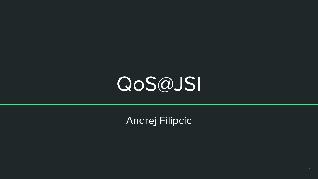# QoS@JSI

Andrej Filipcic

1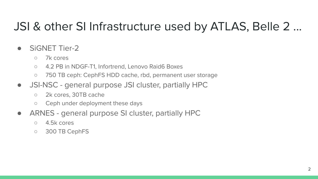## JSI & other SI Infrastructure used by ATLAS, Belle 2 ...

- **SiGNET Tier-2** 
	- 7k cores
	- 4.2 PB in NDGF-T1, Infortrend, Lenovo Raid6 Boxes
	- 750 TB ceph: CephFS HDD cache, rbd, permanent user storage
- JSI-NSC general purpose JSI cluster, partially HPC
	- 2k cores, 30TB cache
	- Ceph under deployment these days
- ARNES general purpose SI cluster, partially HPC
	- 4.5k cores
	- 300 TB CephFS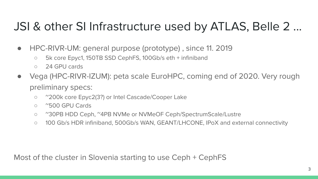## JSI & other SI Infrastructure used by ATLAS, Belle 2 ...

- HPC-RIVR-UM: general purpose (prototype), since 11. 2019
	- 5k core Epyc1, 150TB SSD CephFS, 100Gb/s eth + infiniband
	- 24 GPU cards
- Vega (HPC-RIVR-IZUM): peta scale EuroHPC, coming end of 2020. Very rough preliminary specs:
	- ~200k core Epyc2(3?) or Intel Cascade/Cooper Lake
	- ~500 GPU Cards
	- ~30PB HDD Ceph, ~4PB NVMe or NVMeOF Ceph/SpectrumScale/Lustre
	- 100 Gb/s HDR infiniband, 500Gb/s WAN, GEANT/LHCONE, IPoX and external connectivity

Most of the cluster in Slovenia starting to use Ceph + CephFS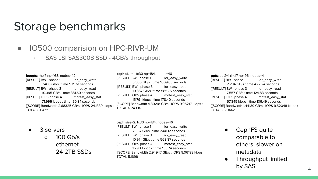#### Storage benchmarks

- **IO500** comparision on HPC-RIVR-UM
	- SAS LSI SAS3008 SSD 4GB/s throughput

**beegfs**: rhel7 np=168, nodes=42 [RESULT] BW phase 1 ior\_easy\_write 7.406 GB/s : time 535.61 seconds [RESULT] BW phase 3 ior\_easy\_read 10.395 GB/s : time 381.60 seconds [RESULT] IOPS phase 4 mdtest\_easy\_stat 71.995 kiops : time 90.84 seconds [[SCORE] Bandwidth 2.68325 GB/s : IOPS 24.1339 kiops : TOTAL 8.04719

**ceph** size=1: fc30 np=184, nodes=46 [RESULT] BW phase 1 ior easy write 6.305 GB/s : time 1009.66 seconds [[RESULT] BW phase 3 ior\_easy\_read 10.867 GB/s : time 585.75 seconds [RESULT] IOPS phase 4 mdtest\_easy\_stat 15.791 kiops : time 178.40 seconds [SCORE] Bandwidth 4.30218 GB/s : IOPS 9.06217 kiops : TOTAL 6.24396

- 3 servers
	- 100 Gb/s ethernet
	- 24 2TB SSDs

**ceph** size=2: fc30 np=184, nodes=46 [RESULT] BW phase 1 ior\_easy\_write 2.557 GB/s : time 2441.12 seconds [RESULT] BW phase 3 ior\_easy\_read 10.971 GB/s : time 568.87 seconds [RESULT] IOPS phase 4 mdtest\_easy\_stat 15.903 kiops : time 183.74 seconds [[SCORE] Bandwidth 2.94947 GB/s : IOPS 9.06193 kiops : TOTAL 5.1699

**gpfs**: ec 2+1 rhel7 np=96, nodes=4 [RESULT] BW phase 1 ior\_easy\_write 2.234 GB/s : time 422.24 seconds [[RESULT] BW phase 3 ior\_easy\_read 7.557 GB/s : time 124.83 seconds [RESULT] IOPS phase 4 mdtest\_easy\_stat 57.845 kiops : time 109.49 seconds [[SCORE] Bandwidth 1.44139 GB/s : IOPS 9.52048 kiops : TOTAL 3.70442

- CephFS quite comparable to others, slower on metadata
- Throughput limited by SAS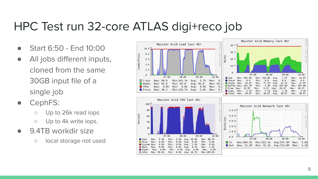## HPC Test run 32-core ATLAS digi+reco job

- Start 6:50 End 10:00
- All jobs different inputs, cloned from the same 30GB input file of a single job
- CephFS:
	- Up to 26k read iops
	- Up to 4k write iops.
- 9.4TB workdir size
	- local storage not used

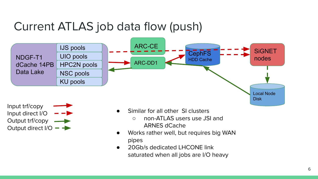## Current ATLAS job data flow (push)



Input trf/copy Input direct I/O Output trf/copy Output direct  $I/O - \rightarrow$ 

- Similar for all other SI clusters
	- non-ATLAS users use JSI and ARNES dCache
- Works rather well, but requires big WAN pipes
- 20Gb/s dedicated LHCONE link saturated when all jobs are I/O heavy

Disk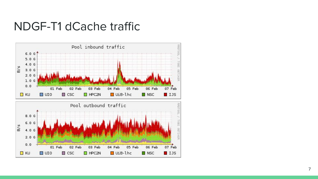#### NDGF-T1 dCache traffic

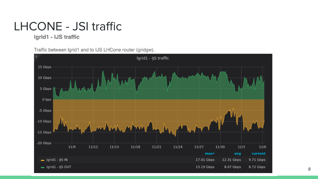## LHCONE - JSI traffic

Igrid1 - IJS traffic

Traffic between Igrid1 and to IJS LHCone router (gridgw).

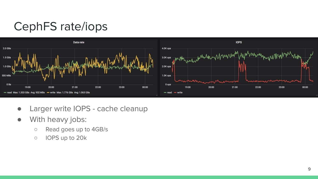# CephFS rate/iops



- Larger write IOPS cache cleanup
- With heavy jobs:
	- Read goes up to 4GB/s
	- IOPS up to 20k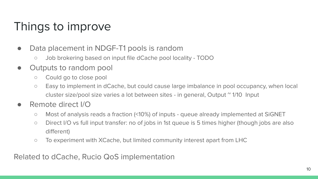## Things to improve

- Data placement in NDGF-T1 pools is random
	- Job brokering based on input file dCache pool locality TODO
- Outputs to random pool
	- Could go to close pool
	- Easy to implement in dCache, but could cause large imbalance in pool occupancy, when local cluster size/pool size varies a lot between sites - in general, Output ~ 1/10 Input
- Remote direct I/O
	- Most of analysis reads a fraction (<10%) of inputs queue already implemented at SiGNET
	- Direct I/O vs full input transfer: no of jobs in 1st queue is 5 times higher (though jobs are also different)
	- To experiment with XCache, but limited community interest apart from LHC

Related to dCache, Rucio QoS implementation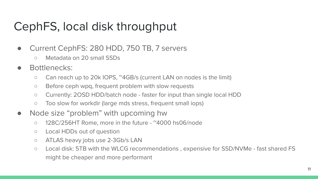## CephFS, local disk throughput

- Current CephFS: 280 HDD, 750 TB, 7 servers
	- Metadata on 20 small SSDs
- Bottlenecks:
	- Can reach up to 20k IOPS, ~4GB/s (current LAN on nodes is the limit)
	- Before ceph wpq, frequent problem with slow requests
	- Currently: 2OSD HDD/batch node faster for input than single local HDD
	- Too slow for workdir (large mds stress, frequent small iops)
- Node size "problem" with upcoming hw
	- 128C/256HT Rome, more in the future ~4000 hs06/node
	- Local HDDs out of question
	- ATLAS heavy jobs use 2-3Gb/s LAN
	- Local disk: 5TB with the WLCG recommendations , expensive for SSD/NVMe fast shared FS might be cheaper and more performant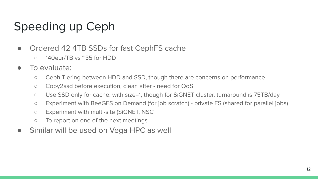# Speeding up Ceph

- Ordered 42 4TB SSDs for fast CephFS cache
	- 140eur/TB vs ~35 for HDD
- To evaluate:
	- Ceph Tiering between HDD and SSD, though there are concerns on performance
	- Copy2ssd before execution, clean after need for QoS
	- Use SSD only for cache, with size=1, though for SiGNET cluster, turnaround is 75TB/day
	- Experiment with BeeGFS on Demand (for job scratch) private FS (shared for parallel jobs)
	- Experiment with multi-site (SiGNET, NSC
	- To report on one of the next meetings
- Similar will be used on Vega HPC as well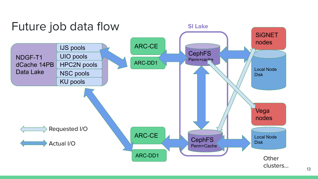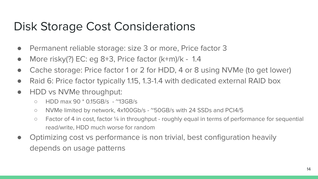## Disk Storage Cost Considerations

- Permanent reliable storage: size 3 or more, Price factor 3
- More risky $(?)$  EC: eg 8+3, Price factor  $(k+m)/k 1.4$
- Cache storage: Price factor 1 or 2 for HDD, 4 or 8 using NVMe (to get lower)
- Raid 6: Price factor typically 1.15, 1.3-1.4 with dedicated external RAID box
- HDD vs NVMe throughput:
	- HDD max 90 \* 0.15GB/s ~13GB/s
	- NVMe limited by network, 4x100Gb/s ~50GB/s with 24 SSDs and PCI4/5
	- Factor of 4 in cost, factor ¼ in throughput roughly equal in terms of performance for sequential read/write, HDD much worse for random
- Optimizing cost vs performance is non trivial, best configuration heavily depends on usage patterns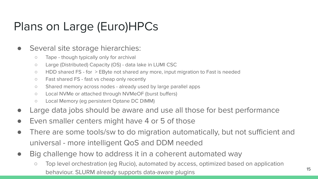# Plans on Large (Euro)HPCs

- Several site storage hierarchies:
	- Tape though typically only for archival
	- Large (Distributed) Capacity (OS) data lake in LUMI CSC
	- HDD shared FS for > EByte not shared any more, input migration to Fast is needed
	- Fast shared FS fast vs cheap only recently
	- Shared memory across nodes already used by large parallel apps
	- Local NVMe or attached through NVMeOF (burst buffers)
	- Local Memory (eg persistent Optane DC DIMM)
- Large data jobs should be aware and use all those for best performance
- Even smaller centers might have 4 or 5 of those
- There are some tools/sw to do migration automatically, but not sufficient and universal - more intelligent QoS and DDM needed
- Big challenge how to address it in a coherent automated way
	- Top level orchestration (eg Rucio), automated by access, optimized based on application behaviour. SLURM already supports data-aware plugins 15